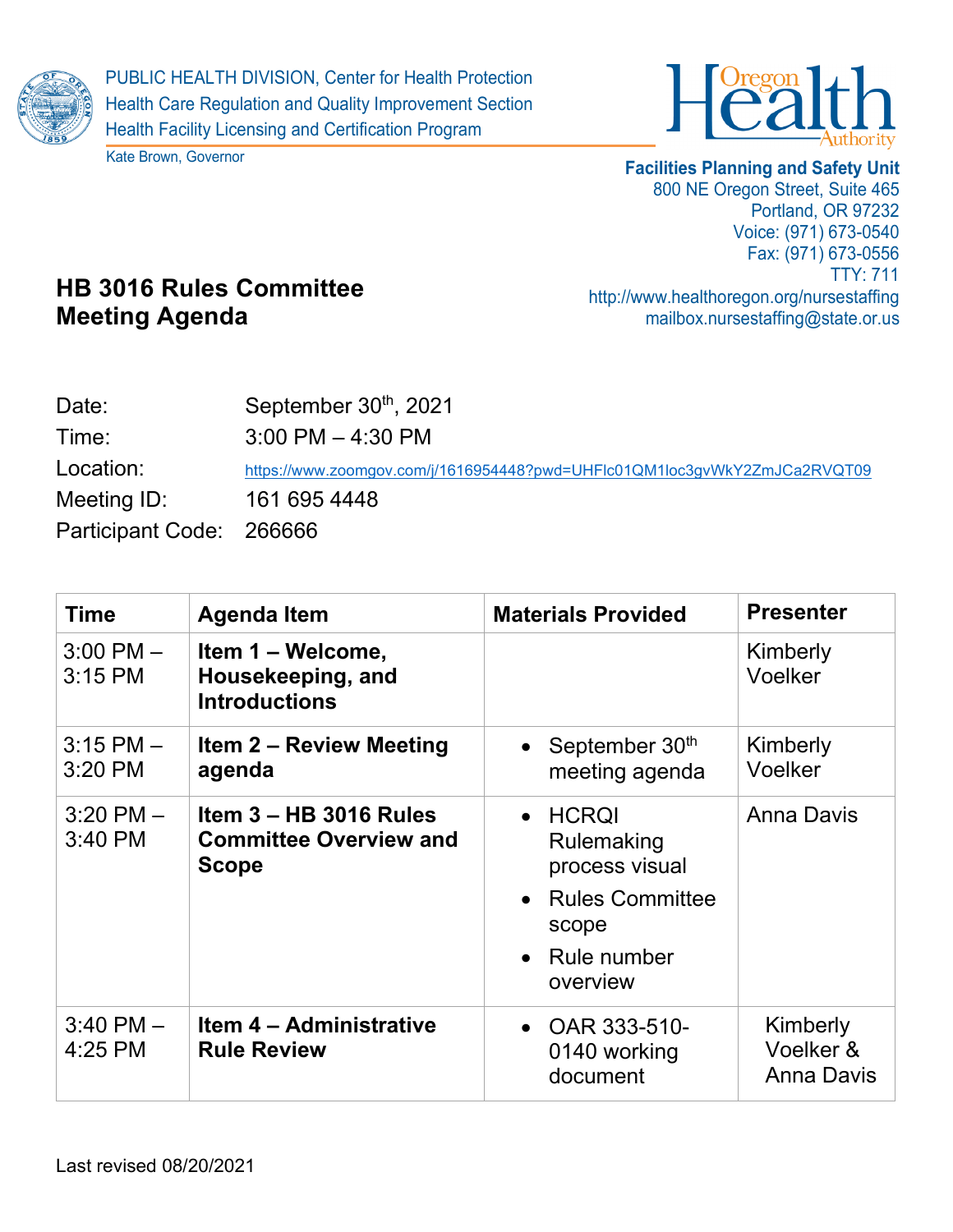

Kate Brown, Governor



## **Facilities Planning and Safety Unit**

800 NE Oregon Street, Suite 465 Portland, OR 97232 Voice: (971) 673-0540 Fax: (971) 673-0556 TTY: 711 http://www.healthoregon.org/nursestaffing mailbox.nursestaffing@state.or.us

## **HB 3016 Rules Committee Meeting Agenda**

| Date:                    | September $30th$ , 2021                                                   |
|--------------------------|---------------------------------------------------------------------------|
| Time:                    | $3:00$ PM $-$ 4:30 PM                                                     |
| Location:                | https://www.zoomgov.com/j/1616954448?pwd=UHFlc01QM1loc3gvWkY2ZmJCa2RVQT09 |
| Meeting ID:              | 161 695 4448                                                              |
| Participant Code: 266666 |                                                                           |

| <b>Time</b>                | <b>Agenda Item</b>                                                        | <b>Materials Provided</b>                                                                                                               | <b>Presenter</b>                           |
|----------------------------|---------------------------------------------------------------------------|-----------------------------------------------------------------------------------------------------------------------------------------|--------------------------------------------|
| $3:00$ PM $-$<br>3:15 PM   | Item 1 – Welcome,<br>Housekeeping, and<br><b>Introductions</b>            |                                                                                                                                         | Kimberly<br>Voelker                        |
| $3:15$ PM $-$<br>$3:20$ PM | <b>Item 2 – Review Meeting</b><br>agenda                                  | • September $30th$<br>meeting agenda                                                                                                    | Kimberly<br>Voelker                        |
| $3:20$ PM $-$<br>3:40 PM   | Item $3 - HB$ 3016 Rules<br><b>Committee Overview and</b><br><b>Scope</b> | $\bullet$ HCRQI<br>Rulemaking<br>process visual<br><b>Rules Committee</b><br>$\bullet$<br>scope<br>Rule number<br>$\bullet$<br>overview | <b>Anna Davis</b>                          |
| $3:40$ PM $-$<br>4:25 PM   | <b>Item 4 – Administrative</b><br><b>Rule Review</b>                      | • OAR $333-510-$<br>0140 working<br>document                                                                                            | Kimberly<br>Voelker &<br><b>Anna Davis</b> |